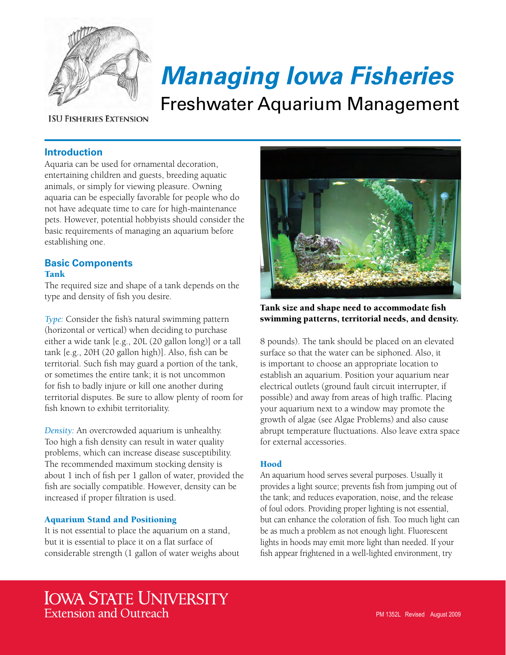

# *Managing Iowa Fisheries*

Freshwater Aquarium Management

**ISU FISHERIES EXTENSION** 

# **Introduction**

Aquaria can be used for ornamental decoration, entertaining children and guests, breeding aquatic animals, or simply for viewing pleasure. Owning aquaria can be especially favorable for people who do not have adequate time to care for high-maintenance pets. However, potential hobbyists should consider the basic requirements of managing an aquarium before establishing one.

# **Basic Components** Tank

The required size and shape of a tank depends on the type and density of fish you desire.

*Type:* Consider the fish's natural swimming pattern (horizontal or vertical) when deciding to purchase either a wide tank [e.g., 20L (20 gallon long)] or a tall tank [e.g., 20H (20 gallon high)]. Also, fish can be territorial. Such fish may guard a portion of the tank, or sometimes the entire tank; it is not uncommon for fish to badly injure or kill one another during territorial disputes. Be sure to allow plenty of room for fish known to exhibit territoriality.

*Density:* An overcrowded aquarium is unhealthy. Too high a fish density can result in water quality problems, which can increase disease susceptibility. The recommended maximum stocking density is about 1 inch of fish per 1 gallon of water, provided the fish are socially compatible. However, density can be increased if proper filtration is used.

# Aquarium Stand and Positioning

It is not essential to place the aquarium on a stand, but it is essential to place it on a flat surface of considerable strength (1 gallon of water weighs about



Tank size and shape need to accommodate fish swimming patterns, territorial needs, and density.

8 pounds). The tank should be placed on an elevated surface so that the water can be siphoned. Also, it is important to choose an appropriate location to establish an aquarium. Position your aquarium near electrical outlets (ground fault circuit interrupter, if possible) and away from areas of high traffic. Placing your aquarium next to a window may promote the growth of algae (see Algae Problems) and also cause abrupt temperature fluctuations. Also leave extra space for external accessories.

# Hood

An aquarium hood serves several purposes. Usually it provides a light source; prevents fish from jumping out of the tank; and reduces evaporation, noise, and the release of foul odors. Providing proper lighting is not essential, but can enhance the coloration of fish. Too much light can be as much a problem as not enough light. Fluorescent lights in hoods may emit more light than needed. If your fish appear frightened in a well-lighted environment, try

# **IOWA STATE UNIVERSITY Extension and Outreach**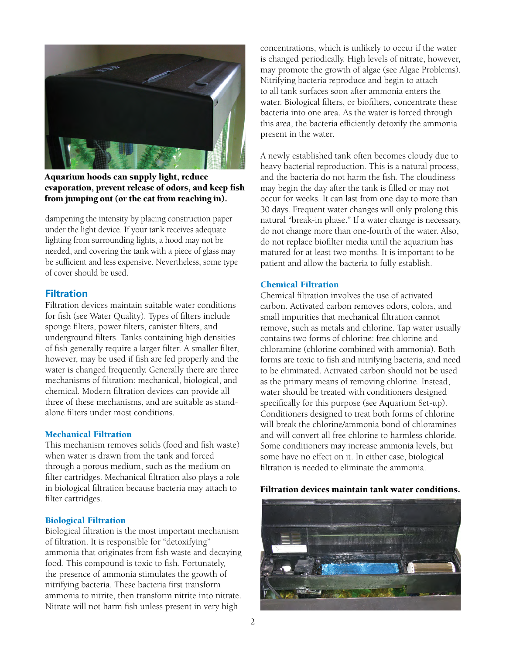

Aquarium hoods can supply light, reduce evaporation, prevent release of odors, and keep fish from jumping out (or the cat from reaching in).

dampening the intensity by placing construction paper under the light device. If your tank receives adequate lighting from surrounding lights, a hood may not be needed, and covering the tank with a piece of glass may be sufficient and less expensive. Nevertheless, some type of cover should be used.

# **Filtration**

Filtration devices maintain suitable water conditions for fish (see Water Quality). Types of filters include sponge filters, power filters, canister filters, and underground filters. Tanks containing high densities of fish generally require a larger filter. A smaller filter, however, may be used if fish are fed properly and the water is changed frequently. Generally there are three mechanisms of filtration: mechanical, biological, and chemical. Modern filtration devices can provide all three of these mechanisms, and are suitable as standalone filters under most conditions.

#### Mechanical Filtration

This mechanism removes solids (food and fish waste) when water is drawn from the tank and forced through a porous medium, such as the medium on filter cartridges. Mechanical filtration also plays a role in biological filtration because bacteria may attach to filter cartridges.

#### Biological Filtration

Biological filtration is the most important mechanism of filtration. It is responsible for "detoxifying" ammonia that originates from fish waste and decaying food. This compound is toxic to fish. Fortunately, the presence of ammonia stimulates the growth of nitrifying bacteria. These bacteria first transform ammonia to nitrite, then transform nitrite into nitrate. Nitrate will not harm fish unless present in very high

concentrations, which is unlikely to occur if the water is changed periodically. High levels of nitrate, however, may promote the growth of algae (see Algae Problems). Nitrifying bacteria reproduce and begin to attach to all tank surfaces soon after ammonia enters the water. Biological filters, or biofilters, concentrate these bacteria into one area. As the water is forced through this area, the bacteria efficiently detoxify the ammonia present in the water.

A newly established tank often becomes cloudy due to heavy bacterial reproduction. This is a natural process, and the bacteria do not harm the fish. The cloudiness may begin the day after the tank is filled or may not occur for weeks. It can last from one day to more than 30 days. Frequent water changes will only prolong this natural "break-in phase." If a water change is necessary, do not change more than one-fourth of the water. Also, do not replace biofilter media until the aquarium has matured for at least two months. It is important to be patient and allow the bacteria to fully establish.

#### Chemical Filtration

Chemical filtration involves the use of activated carbon. Activated carbon removes odors, colors, and small impurities that mechanical filtration cannot remove, such as metals and chlorine. Tap water usually contains two forms of chlorine: free chlorine and chloramine (chlorine combined with ammonia). Both forms are toxic to fish and nitrifying bacteria, and need to be eliminated. Activated carbon should not be used as the primary means of removing chlorine. Instead, water should be treated with conditioners designed specifically for this purpose (see Aquarium Set-up). Conditioners designed to treat both forms of chlorine will break the chlorine/ammonia bond of chloramines and will convert all free chlorine to harmless chloride. Some conditioners may increase ammonia levels, but some have no effect on it. In either case, biological filtration is needed to eliminate the ammonia.

#### Filtration devices maintain tank water conditions.

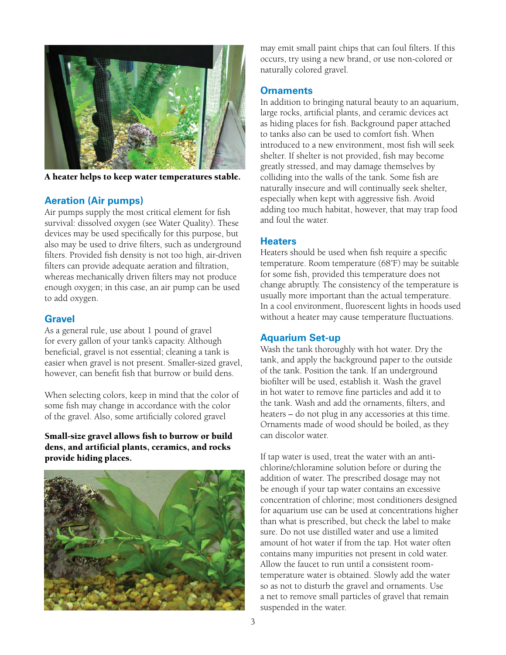

A heater helps to keep water temperatures stable.

# **Aeration (Air pumps)**

Air pumps supply the most critical element for fish survival: dissolved oxygen (see Water Quality). These devices may be used specifically for this purpose, but also may be used to drive filters, such as underground filters. Provided fish density is not too high, air-driven filters can provide adequate aeration and filtration, whereas mechanically driven filters may not produce enough oxygen; in this case, an air pump can be used to add oxygen.

# **Gravel**

As a general rule, use about 1 pound of gravel for every gallon of your tank's capacity. Although beneficial, gravel is not essential; cleaning a tank is easier when gravel is not present. Smaller-sized gravel, however, can benefit fish that burrow or build dens.

When selecting colors, keep in mind that the color of some fish may change in accordance with the color of the gravel. Also, some artificially colored gravel

Small-size gravel allows fish to burrow or build dens, and artificial plants, ceramics, and rocks provide hiding places.



may emit small paint chips that can foul filters. If this occurs, try using a new brand, or use non-colored or naturally colored gravel.

# **Ornaments**

In addition to bringing natural beauty to an aquarium, large rocks, artificial plants, and ceramic devices act as hiding places for fish. Background paper attached to tanks also can be used to comfort fish. When introduced to a new environment, most fish will seek shelter. If shelter is not provided, fish may become greatly stressed, and may damage themselves by colliding into the walls of the tank. Some fish are naturally insecure and will continually seek shelter, especially when kept with aggressive fish. Avoid adding too much habitat, however, that may trap food and foul the water.

# **Heaters**

Heaters should be used when fish require a specific temperature. Room temperature (68˚F) may be suitable for some fish, provided this temperature does not change abruptly. The consistency of the temperature is usually more important than the actual temperature. In a cool environment, fluorescent lights in hoods used without a heater may cause temperature fluctuations.

# **Aquarium Set-up**

Wash the tank thoroughly with hot water. Dry the tank, and apply the background paper to the outside of the tank. Position the tank. If an underground biofilter will be used, establish it. Wash the gravel in hot water to remove fine particles and add it to the tank. Wash and add the ornaments, filters, and heaters – do not plug in any accessories at this time. Ornaments made of wood should be boiled, as they can discolor water.

If tap water is used, treat the water with an antichlorine/chloramine solution before or during the addition of water. The prescribed dosage may not be enough if your tap water contains an excessive concentration of chlorine; most conditioners designed for aquarium use can be used at concentrations higher than what is prescribed, but check the label to make sure. Do not use distilled water and use a limited amount of hot water if from the tap. Hot water often contains many impurities not present in cold water. Allow the faucet to run until a consistent roomtemperature water is obtained. Slowly add the water so as not to disturb the gravel and ornaments. Use a net to remove small particles of gravel that remain suspended in the water.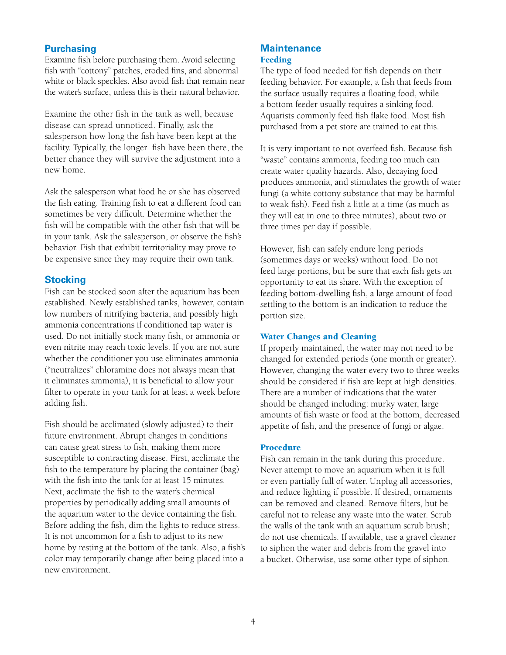# **Purchasing**

Examine fish before purchasing them. Avoid selecting fish with "cottony" patches, eroded fins, and abnormal white or black speckles. Also avoid fish that remain near the water's surface, unless this is their natural behavior.

Examine the other fish in the tank as well, because disease can spread unnoticed. Finally, ask the salesperson how long the fish have been kept at the facility. Typically, the longer fish have been there, the better chance they will survive the adjustment into a new home.

Ask the salesperson what food he or she has observed the fish eating. Training fish to eat a different food can sometimes be very difficult. Determine whether the fish will be compatible with the other fish that will be in your tank. Ask the salesperson, or observe the fish's behavior. Fish that exhibit territoriality may prove to be expensive since they may require their own tank.

#### **Stocking**

Fish can be stocked soon after the aquarium has been established. Newly established tanks, however, contain low numbers of nitrifying bacteria, and possibly high ammonia concentrations if conditioned tap water is used. Do not initially stock many fish, or ammonia or even nitrite may reach toxic levels. If you are not sure whether the conditioner you use eliminates ammonia ("neutralizes" chloramine does not always mean that it eliminates ammonia), it is beneficial to allow your filter to operate in your tank for at least a week before adding fish.

Fish should be acclimated (slowly adjusted) to their future environment. Abrupt changes in conditions can cause great stress to fish, making them more susceptible to contracting disease. First, acclimate the fish to the temperature by placing the container (bag) with the fish into the tank for at least 15 minutes. Next, acclimate the fish to the water's chemical properties by periodically adding small amounts of the aquarium water to the device containing the fish. Before adding the fish, dim the lights to reduce stress. It is not uncommon for a fish to adjust to its new home by resting at the bottom of the tank. Also, a fish's color may temporarily change after being placed into a new environment.

#### **Maintenance** Feeding

The type of food needed for fish depends on their feeding behavior. For example, a fish that feeds from the surface usually requires a floating food, while a bottom feeder usually requires a sinking food. Aquarists commonly feed fish flake food. Most fish purchased from a pet store are trained to eat this.

It is very important to not overfeed fish. Because fish "waste" contains ammonia, feeding too much can create water quality hazards. Also, decaying food produces ammonia, and stimulates the growth of water fungi (a white cottony substance that may be harmful to weak fish). Feed fish a little at a time (as much as they will eat in one to three minutes), about two or three times per day if possible.

However, fish can safely endure long periods (sometimes days or weeks) without food. Do not feed large portions, but be sure that each fish gets an opportunity to eat its share. With the exception of feeding bottom-dwelling fish, a large amount of food settling to the bottom is an indication to reduce the portion size.

#### Water Changes and Cleaning

If properly maintained, the water may not need to be changed for extended periods (one month or greater). However, changing the water every two to three weeks should be considered if fish are kept at high densities. There are a number of indications that the water should be changed including: murky water, large amounts of fish waste or food at the bottom, decreased appetite of fish, and the presence of fungi or algae.

#### Procedure

Fish can remain in the tank during this procedure. Never attempt to move an aquarium when it is full or even partially full of water. Unplug all accessories, and reduce lighting if possible. If desired, ornaments can be removed and cleaned. Remove filters, but be careful not to release any waste into the water. Scrub the walls of the tank with an aquarium scrub brush; do not use chemicals. If available, use a gravel cleaner to siphon the water and debris from the gravel into a bucket. Otherwise, use some other type of siphon.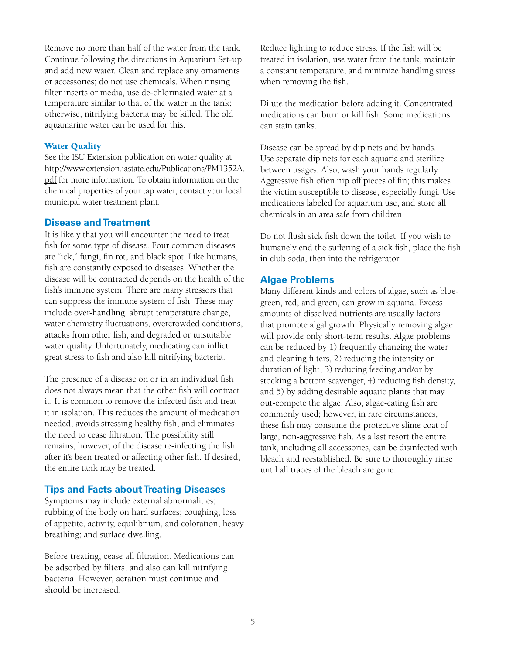Remove no more than half of the water from the tank. Continue following the directions in Aquarium Set-up and add new water. Clean and replace any ornaments or accessories; do not use chemicals. When rinsing filter inserts or media, use de-chlorinated water at a temperature similar to that of the water in the tank; otherwise, nitrifying bacteria may be killed. The old aquamarine water can be used for this.

#### Water Quality

See the ISU Extension publication on water quality at [http://www.extension.iastate.edu/Publications/PM1352A.](https://store.extension.iastate.edu/product/4756) [pdf](https://store.extension.iastate.edu/product/4756) for more information. To obtain information on the chemical properties of your tap water, contact your local municipal water treatment plant.

#### **Disease and Treatment**

It is likely that you will encounter the need to treat fish for some type of disease. Four common diseases are "ick," fungi, fin rot, and black spot. Like humans, fish are constantly exposed to diseases. Whether the disease will be contracted depends on the health of the fish's immune system. There are many stressors that can suppress the immune system of fish. These may include over-handling, abrupt temperature change, water chemistry fluctuations, overcrowded conditions, attacks from other fish, and degraded or unsuitable water quality. Unfortunately, medicating can inflict great stress to fish and also kill nitrifying bacteria.

The presence of a disease on or in an individual fish does not always mean that the other fish will contract it. It is common to remove the infected fish and treat it in isolation. This reduces the amount of medication needed, avoids stressing healthy fish, and eliminates the need to cease filtration. The possibility still remains, however, of the disease re-infecting the fish after it's been treated or affecting other fish. If desired, the entire tank may be treated.

#### **Tips and Facts about Treating Diseases**

Symptoms may include external abnormalities; rubbing of the body on hard surfaces; coughing; loss of appetite, activity, equilibrium, and coloration; heavy breathing; and surface dwelling.

Before treating, cease all filtration. Medications can be adsorbed by filters, and also can kill nitrifying bacteria. However, aeration must continue and should be increased.

Reduce lighting to reduce stress. If the fish will be treated in isolation, use water from the tank, maintain a constant temperature, and minimize handling stress when removing the fish.

Dilute the medication before adding it. Concentrated medications can burn or kill fish. Some medications can stain tanks.

Disease can be spread by dip nets and by hands. Use separate dip nets for each aquaria and sterilize between usages. Also, wash your hands regularly. Aggressive fish often nip off pieces of fin; this makes the victim susceptible to disease, especially fungi. Use medications labeled for aquarium use, and store all chemicals in an area safe from children.

Do not flush sick fish down the toilet. If you wish to humanely end the suffering of a sick fish, place the fish in club soda, then into the refrigerator.

#### **Algae Problems**

Many different kinds and colors of algae, such as bluegreen, red, and green, can grow in aquaria. Excess amounts of dissolved nutrients are usually factors that promote algal growth. Physically removing algae will provide only short-term results. Algae problems can be reduced by 1) frequently changing the water and cleaning filters, 2) reducing the intensity or duration of light, 3) reducing feeding and/or by stocking a bottom scavenger, 4) reducing fish density, and 5) by adding desirable aquatic plants that may out-compete the algae. Also, algae-eating fish are commonly used; however, in rare circumstances, these fish may consume the protective slime coat of large, non-aggressive fish. As a last resort the entire tank, including all accessories, can be disinfected with bleach and reestablished. Be sure to thoroughly rinse until all traces of the bleach are gone.